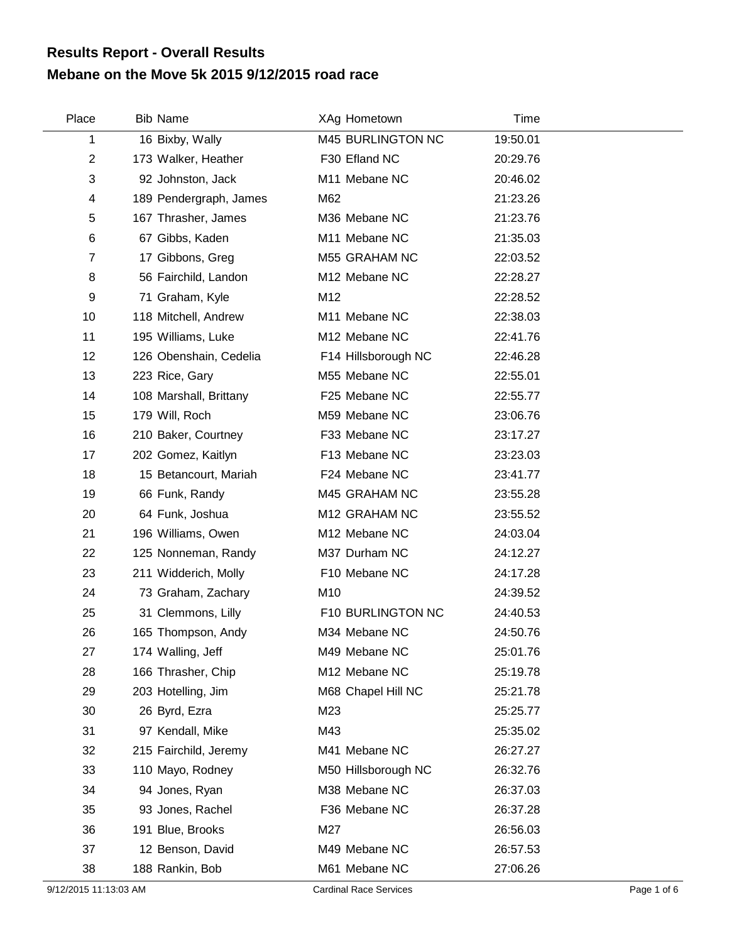## **Mebane on the Move 5k 2015 9/12/2015 road race Results Report - Overall Results**

| Place                   | <b>Bib Name</b>        | XAg Hometown        | Time     |  |
|-------------------------|------------------------|---------------------|----------|--|
| 1                       | 16 Bixby, Wally        | M45 BURLINGTON NC   | 19:50.01 |  |
| $\boldsymbol{2}$        | 173 Walker, Heather    | F30 Efland NC       | 20:29.76 |  |
| 3                       | 92 Johnston, Jack      | M11 Mebane NC       | 20:46.02 |  |
| $\overline{\mathbf{4}}$ | 189 Pendergraph, James | M62                 | 21:23.26 |  |
| 5                       | 167 Thrasher, James    | M36 Mebane NC       | 21:23.76 |  |
| $\,6$                   | 67 Gibbs, Kaden        | M11 Mebane NC       | 21:35.03 |  |
| $\overline{7}$          | 17 Gibbons, Greg       | M55 GRAHAM NC       | 22:03.52 |  |
| 8                       | 56 Fairchild, Landon   | M12 Mebane NC       | 22:28.27 |  |
| 9                       | 71 Graham, Kyle        | M12                 | 22:28.52 |  |
| 10                      | 118 Mitchell, Andrew   | M11 Mebane NC       | 22:38.03 |  |
| 11                      | 195 Williams, Luke     | M12 Mebane NC       | 22:41.76 |  |
| 12                      | 126 Obenshain, Cedelia | F14 Hillsborough NC | 22:46.28 |  |
| 13                      | 223 Rice, Gary         | M55 Mebane NC       | 22:55.01 |  |
| 14                      | 108 Marshall, Brittany | F25 Mebane NC       | 22:55.77 |  |
| 15                      | 179 Will, Roch         | M59 Mebane NC       | 23:06.76 |  |
| 16                      | 210 Baker, Courtney    | F33 Mebane NC       | 23:17.27 |  |
| 17                      | 202 Gomez, Kaitlyn     | F13 Mebane NC       | 23:23.03 |  |
| 18                      | 15 Betancourt, Mariah  | F24 Mebane NC       | 23:41.77 |  |
| 19                      | 66 Funk, Randy         | M45 GRAHAM NC       | 23:55.28 |  |
| 20                      | 64 Funk, Joshua        | M12 GRAHAM NC       | 23:55.52 |  |
| 21                      | 196 Williams, Owen     | M12 Mebane NC       | 24:03.04 |  |
| 22                      | 125 Nonneman, Randy    | M37 Durham NC       | 24:12.27 |  |
| 23                      | 211 Widderich, Molly   | F10 Mebane NC       | 24:17.28 |  |
| 24                      | 73 Graham, Zachary     | M10                 | 24:39.52 |  |
| 25                      | 31 Clemmons, Lilly     | F10 BURLINGTON NC   | 24:40.53 |  |
| 26                      | 165 Thompson, Andy     | M34 Mebane NC       | 24:50.76 |  |
| 27                      | 174 Walling, Jeff      | M49 Mebane NC       | 25:01.76 |  |
| 28                      | 166 Thrasher, Chip     | M12 Mebane NC       | 25:19.78 |  |
| 29                      | 203 Hotelling, Jim     | M68 Chapel Hill NC  | 25:21.78 |  |
| 30                      | 26 Byrd, Ezra          | M23                 | 25:25.77 |  |
| 31                      | 97 Kendall, Mike       | M43                 | 25:35.02 |  |
| 32                      | 215 Fairchild, Jeremy  | M41 Mebane NC       | 26:27.27 |  |
| 33                      | 110 Mayo, Rodney       | M50 Hillsborough NC | 26:32.76 |  |
| 34                      | 94 Jones, Ryan         | M38 Mebane NC       | 26:37.03 |  |
| 35                      | 93 Jones, Rachel       | F36 Mebane NC       | 26:37.28 |  |
| 36                      | 191 Blue, Brooks       | M27                 | 26:56.03 |  |
| 37                      | 12 Benson, David       | M49 Mebane NC       | 26:57.53 |  |
| 38                      | 188 Rankin, Bob        | M61 Mebane NC       | 27:06.26 |  |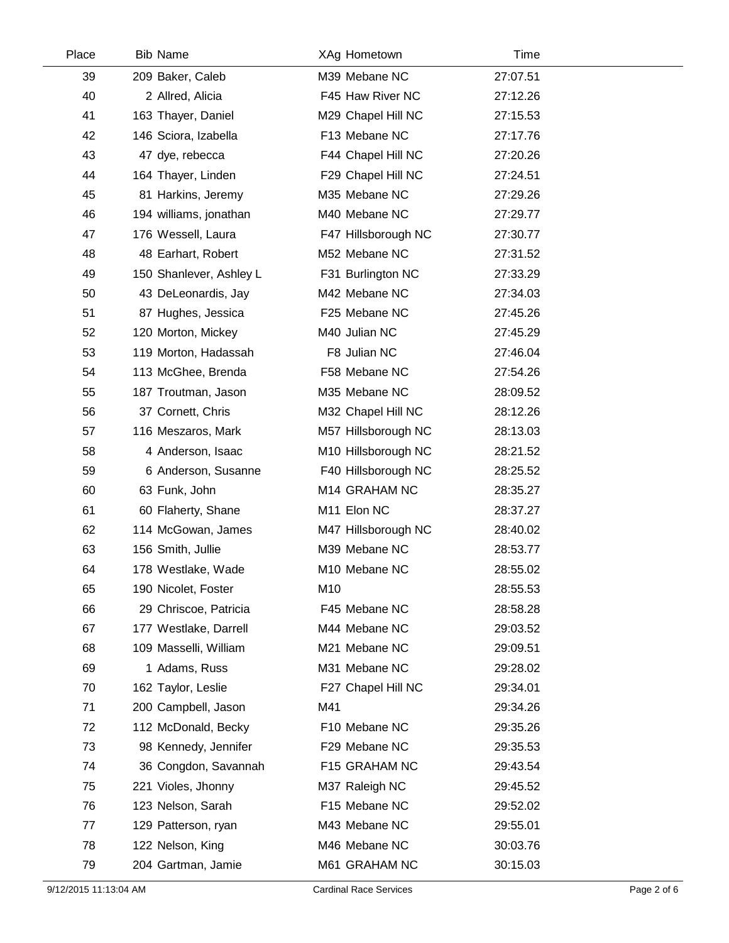| Place | <b>Bib Name</b>         | XAg Hometown              | Time     |  |
|-------|-------------------------|---------------------------|----------|--|
| 39    | 209 Baker, Caleb        | M39 Mebane NC             | 27:07.51 |  |
| 40    | 2 Allred, Alicia        | F45 Haw River NC          | 27:12.26 |  |
| 41    | 163 Thayer, Daniel      | M29 Chapel Hill NC        | 27:15.53 |  |
| 42    | 146 Sciora, Izabella    | F13 Mebane NC             | 27:17.76 |  |
| 43    | 47 dye, rebecca         | F44 Chapel Hill NC        | 27:20.26 |  |
| 44    | 164 Thayer, Linden      | F29 Chapel Hill NC        | 27:24.51 |  |
| 45    | 81 Harkins, Jeremy      | M35 Mebane NC             | 27:29.26 |  |
| 46    | 194 williams, jonathan  | M40 Mebane NC             | 27:29.77 |  |
| 47    | 176 Wessell, Laura      | F47 Hillsborough NC       | 27:30.77 |  |
| 48    | 48 Earhart, Robert      | M52 Mebane NC             | 27:31.52 |  |
| 49    | 150 Shanlever, Ashley L | F31 Burlington NC         | 27:33.29 |  |
| 50    | 43 DeLeonardis, Jay     | M42 Mebane NC             | 27:34.03 |  |
| 51    | 87 Hughes, Jessica      | F25 Mebane NC             | 27:45.26 |  |
| 52    | 120 Morton, Mickey      | M40 Julian NC             | 27:45.29 |  |
| 53    | 119 Morton, Hadassah    | F8 Julian NC              | 27:46.04 |  |
| 54    | 113 McGhee, Brenda      | F58 Mebane NC             | 27:54.26 |  |
| 55    | 187 Troutman, Jason     | M35 Mebane NC             | 28:09.52 |  |
| 56    | 37 Cornett, Chris       | M32 Chapel Hill NC        | 28:12.26 |  |
| 57    | 116 Meszaros, Mark      | M57 Hillsborough NC       | 28:13.03 |  |
| 58    | 4 Anderson, Isaac       | M10 Hillsborough NC       | 28:21.52 |  |
| 59    | 6 Anderson, Susanne     | F40 Hillsborough NC       | 28:25.52 |  |
| 60    | 63 Funk, John           | M14 GRAHAM NC             | 28:35.27 |  |
| 61    | 60 Flaherty, Shane      | M11 Elon NC               | 28:37.27 |  |
| 62    | 114 McGowan, James      | M47 Hillsborough NC       | 28:40.02 |  |
| 63    | 156 Smith, Jullie       | M39 Mebane NC             | 28:53.77 |  |
| 64    | 178 Westlake, Wade      | M <sub>10</sub> Mebane NC | 28:55.02 |  |
| 65    | 190 Nicolet, Foster     | M10                       | 28:55.53 |  |
| 66    | 29 Chriscoe, Patricia   | F45 Mebane NC             | 28:58.28 |  |
| 67    | 177 Westlake, Darrell   | M44 Mebane NC             | 29:03.52 |  |
| 68    | 109 Masselli, William   | M21 Mebane NC             | 29:09.51 |  |
| 69    | 1 Adams, Russ           | M31 Mebane NC             | 29:28.02 |  |
| 70    | 162 Taylor, Leslie      | F27 Chapel Hill NC        | 29:34.01 |  |
| 71    | 200 Campbell, Jason     | M41                       | 29:34.26 |  |
| 72    | 112 McDonald, Becky     | F10 Mebane NC             | 29:35.26 |  |
| 73    | 98 Kennedy, Jennifer    | F29 Mebane NC             | 29:35.53 |  |
| 74    | 36 Congdon, Savannah    | F15 GRAHAM NC             | 29:43.54 |  |
| 75    | 221 Violes, Jhonny      | M37 Raleigh NC            | 29:45.52 |  |
| 76    | 123 Nelson, Sarah       | F15 Mebane NC             | 29:52.02 |  |
| 77    | 129 Patterson, ryan     | M43 Mebane NC             | 29:55.01 |  |
| 78    | 122 Nelson, King        | M46 Mebane NC             | 30:03.76 |  |
| 79    | 204 Gartman, Jamie      | M61 GRAHAM NC             | 30:15.03 |  |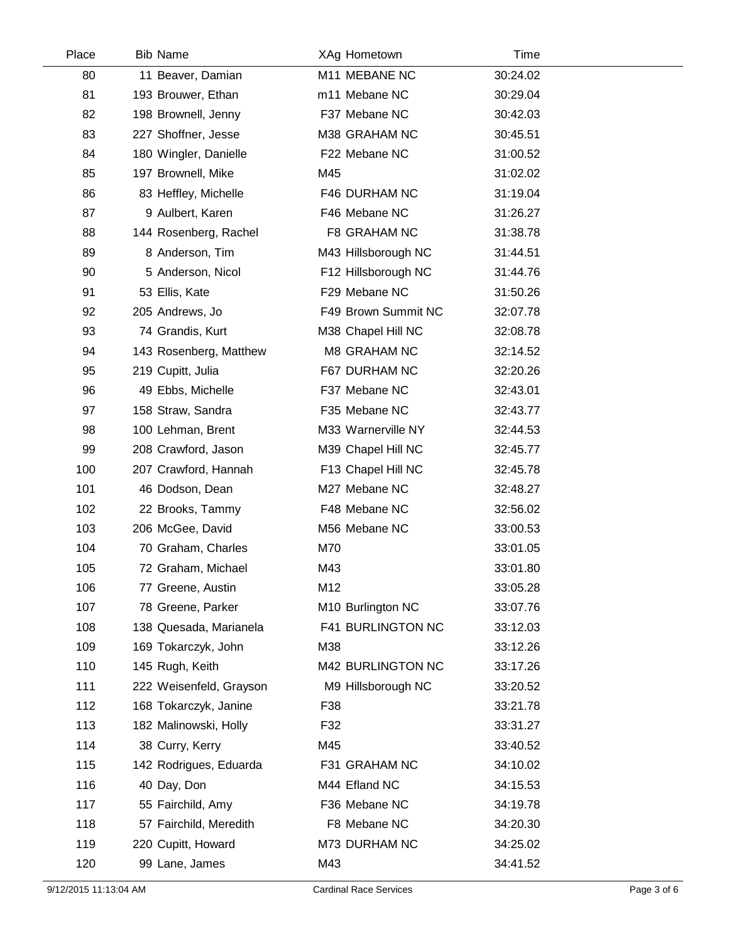| Place | <b>Bib Name</b>         | XAg Hometown        | Time     |  |
|-------|-------------------------|---------------------|----------|--|
| 80    | 11 Beaver, Damian       | M11 MEBANE NC       | 30:24.02 |  |
| 81    | 193 Brouwer, Ethan      | m11 Mebane NC       | 30:29.04 |  |
| 82    | 198 Brownell, Jenny     | F37 Mebane NC       | 30:42.03 |  |
| 83    | 227 Shoffner, Jesse     | M38 GRAHAM NC       | 30:45.51 |  |
| 84    | 180 Wingler, Danielle   | F22 Mebane NC       | 31:00.52 |  |
| 85    | 197 Brownell, Mike      | M45                 | 31:02.02 |  |
| 86    | 83 Heffley, Michelle    | F46 DURHAM NC       | 31:19.04 |  |
| 87    | 9 Aulbert, Karen        | F46 Mebane NC       | 31:26.27 |  |
| 88    | 144 Rosenberg, Rachel   | F8 GRAHAM NC        | 31:38.78 |  |
| 89    | 8 Anderson, Tim         | M43 Hillsborough NC | 31:44.51 |  |
| 90    | 5 Anderson, Nicol       | F12 Hillsborough NC | 31:44.76 |  |
| 91    | 53 Ellis, Kate          | F29 Mebane NC       | 31:50.26 |  |
| 92    | 205 Andrews, Jo         | F49 Brown Summit NC | 32:07.78 |  |
| 93    | 74 Grandis, Kurt        | M38 Chapel Hill NC  | 32:08.78 |  |
| 94    | 143 Rosenberg, Matthew  | M8 GRAHAM NC        | 32:14.52 |  |
| 95    | 219 Cupitt, Julia       | F67 DURHAM NC       | 32:20.26 |  |
| 96    | 49 Ebbs, Michelle       | F37 Mebane NC       | 32:43.01 |  |
| 97    | 158 Straw, Sandra       | F35 Mebane NC       | 32:43.77 |  |
| 98    | 100 Lehman, Brent       | M33 Warnerville NY  | 32:44.53 |  |
| 99    | 208 Crawford, Jason     | M39 Chapel Hill NC  | 32:45.77 |  |
| 100   | 207 Crawford, Hannah    | F13 Chapel Hill NC  | 32:45.78 |  |
| 101   | 46 Dodson, Dean         | M27 Mebane NC       | 32:48.27 |  |
| 102   | 22 Brooks, Tammy        | F48 Mebane NC       | 32:56.02 |  |
| 103   | 206 McGee, David        | M56 Mebane NC       | 33:00.53 |  |
| 104   | 70 Graham, Charles      | M70                 | 33:01.05 |  |
| 105   | 72 Graham, Michael      | M43                 | 33:01.80 |  |
| 106   | 77 Greene, Austin       | M12                 | 33:05.28 |  |
| 107   | 78 Greene, Parker       | M10 Burlington NC   | 33:07.76 |  |
| 108   | 138 Quesada, Marianela  | F41 BURLINGTON NC   | 33:12.03 |  |
| 109   | 169 Tokarczyk, John     | M38                 | 33:12.26 |  |
| 110   | 145 Rugh, Keith         | M42 BURLINGTON NC   | 33:17.26 |  |
| 111   | 222 Weisenfeld, Grayson | M9 Hillsborough NC  | 33:20.52 |  |
| 112   | 168 Tokarczyk, Janine   | F38                 | 33:21.78 |  |
| 113   | 182 Malinowski, Holly   | F32                 | 33:31.27 |  |
| 114   | 38 Curry, Kerry         | M45                 | 33:40.52 |  |
| 115   | 142 Rodrigues, Eduarda  | F31 GRAHAM NC       | 34:10.02 |  |
| 116   | 40 Day, Don             | M44 Efland NC       | 34:15.53 |  |
| 117   | 55 Fairchild, Amy       | F36 Mebane NC       | 34:19.78 |  |
| 118   | 57 Fairchild, Meredith  | F8 Mebane NC        | 34:20.30 |  |
| 119   | 220 Cupitt, Howard      | M73 DURHAM NC       | 34:25.02 |  |
| 120   | 99 Lane, James          | M43                 | 34:41.52 |  |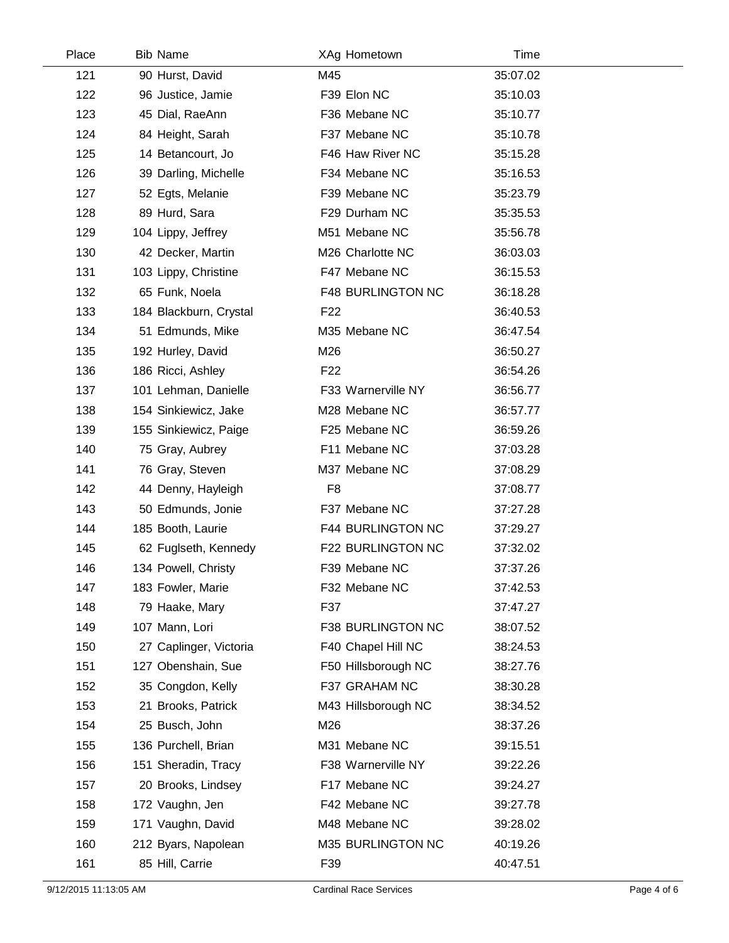| Place | <b>Bib Name</b>        | XAg Hometown             | Time     |  |
|-------|------------------------|--------------------------|----------|--|
| 121   | 90 Hurst, David        | M45                      | 35:07.02 |  |
| 122   | 96 Justice, Jamie      | F39 Elon NC              | 35:10.03 |  |
| 123   | 45 Dial, RaeAnn        | F36 Mebane NC            | 35:10.77 |  |
| 124   | 84 Height, Sarah       | F37 Mebane NC            | 35:10.78 |  |
| 125   | 14 Betancourt, Jo      | F46 Haw River NC         | 35:15.28 |  |
| 126   | 39 Darling, Michelle   | F34 Mebane NC            | 35:16.53 |  |
| 127   | 52 Egts, Melanie       | F39 Mebane NC            | 35:23.79 |  |
| 128   | 89 Hurd, Sara          | F29 Durham NC            | 35:35.53 |  |
| 129   | 104 Lippy, Jeffrey     | M51 Mebane NC            | 35:56.78 |  |
| 130   | 42 Decker, Martin      | M26 Charlotte NC         | 36:03.03 |  |
| 131   | 103 Lippy, Christine   | F47 Mebane NC            | 36:15.53 |  |
| 132   | 65 Funk, Noela         | <b>F48 BURLINGTON NC</b> | 36:18.28 |  |
| 133   | 184 Blackburn, Crystal | F <sub>22</sub>          | 36:40.53 |  |
| 134   | 51 Edmunds, Mike       | M35 Mebane NC            | 36:47.54 |  |
| 135   | 192 Hurley, David      | M26                      | 36:50.27 |  |
| 136   | 186 Ricci, Ashley      | F <sub>22</sub>          | 36:54.26 |  |
| 137   | 101 Lehman, Danielle   | F33 Warnerville NY       | 36:56.77 |  |
| 138   | 154 Sinkiewicz, Jake   | M28 Mebane NC            | 36:57.77 |  |
| 139   | 155 Sinkiewicz, Paige  | F25 Mebane NC            | 36:59.26 |  |
| 140   | 75 Gray, Aubrey        | F11 Mebane NC            | 37:03.28 |  |
| 141   | 76 Gray, Steven        | M37 Mebane NC            | 37:08.29 |  |
| 142   | 44 Denny, Hayleigh     | F <sub>8</sub>           | 37:08.77 |  |
| 143   | 50 Edmunds, Jonie      | F37 Mebane NC            | 37:27.28 |  |
| 144   | 185 Booth, Laurie      | <b>F44 BURLINGTON NC</b> | 37:29.27 |  |
| 145   | 62 Fuglseth, Kennedy   | F22 BURLINGTON NC        | 37:32.02 |  |
| 146   | 134 Powell, Christy    | F39 Mebane NC            | 37:37.26 |  |
| 147   | 183 Fowler, Marie      | F32 Mebane NC            | 37:42.53 |  |
| 148   | 79 Haake, Mary         | F37                      | 37:47.27 |  |
| 149   | 107 Mann, Lori         | F38 BURLINGTON NC        | 38:07.52 |  |
| 150   | 27 Caplinger, Victoria | F40 Chapel Hill NC       | 38:24.53 |  |
| 151   | 127 Obenshain, Sue     | F50 Hillsborough NC      | 38:27.76 |  |
| 152   | 35 Congdon, Kelly      | F37 GRAHAM NC            | 38:30.28 |  |
| 153   | 21 Brooks, Patrick     | M43 Hillsborough NC      | 38:34.52 |  |
| 154   | 25 Busch, John         | M26                      | 38:37.26 |  |
| 155   | 136 Purchell, Brian    | M31 Mebane NC            | 39:15.51 |  |
| 156   | 151 Sheradin, Tracy    | F38 Warnerville NY       | 39:22.26 |  |
| 157   | 20 Brooks, Lindsey     | F17 Mebane NC            | 39:24.27 |  |
| 158   | 172 Vaughn, Jen        | F42 Mebane NC            | 39:27.78 |  |
| 159   | 171 Vaughn, David      | M48 Mebane NC            | 39:28.02 |  |
| 160   | 212 Byars, Napolean    | M35 BURLINGTON NC        | 40:19.26 |  |
| 161   | 85 Hill, Carrie        | F39                      | 40:47.51 |  |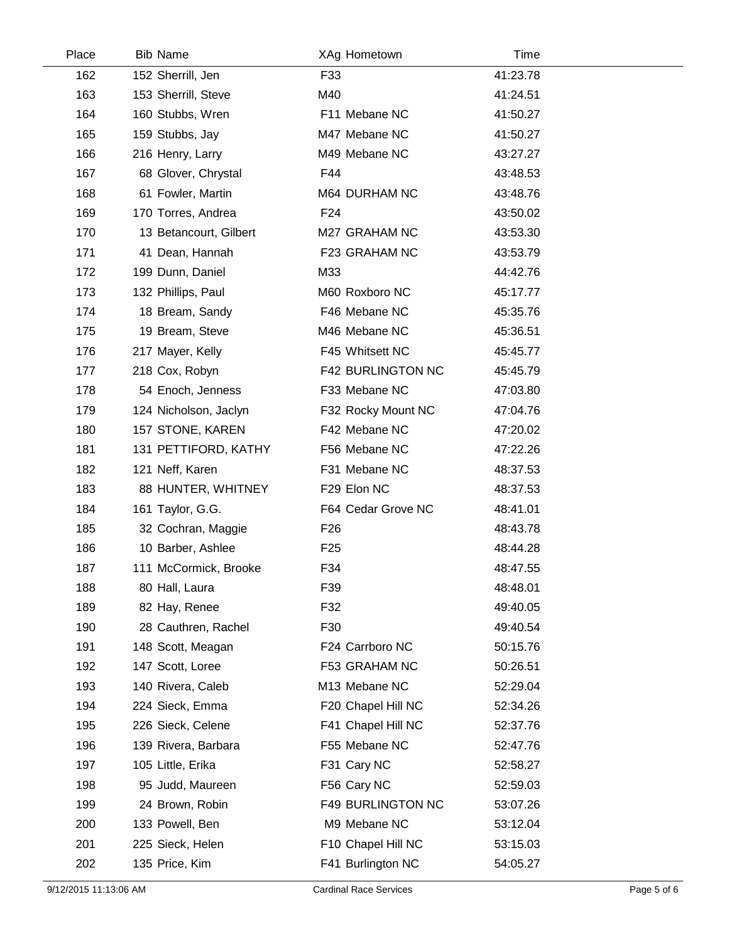| Place | <b>Bib Name</b>        | XAg Hometown             | Time     |  |
|-------|------------------------|--------------------------|----------|--|
| 162   | 152 Sherrill, Jen      | F33                      | 41:23.78 |  |
| 163   | 153 Sherrill, Steve    | M40                      | 41:24.51 |  |
| 164   | 160 Stubbs, Wren       | F11 Mebane NC            | 41:50.27 |  |
| 165   | 159 Stubbs, Jay        | M47 Mebane NC            | 41:50.27 |  |
| 166   | 216 Henry, Larry       | M49 Mebane NC            | 43:27.27 |  |
| 167   | 68 Glover, Chrystal    | F44                      | 43:48.53 |  |
| 168   | 61 Fowler, Martin      | M64 DURHAM NC            | 43:48.76 |  |
| 169   | 170 Torres, Andrea     | F <sub>24</sub>          | 43:50.02 |  |
| 170   | 13 Betancourt, Gilbert | M27 GRAHAM NC            | 43:53.30 |  |
| 171   | 41 Dean, Hannah        | F23 GRAHAM NC            | 43:53.79 |  |
| 172   | 199 Dunn, Daniel       | M33                      | 44:42.76 |  |
| 173   | 132 Phillips, Paul     | M60 Roxboro NC           | 45:17.77 |  |
| 174   | 18 Bream, Sandy        | F46 Mebane NC            | 45:35.76 |  |
| 175   | 19 Bream, Steve        | M46 Mebane NC            | 45:36.51 |  |
| 176   | 217 Mayer, Kelly       | F45 Whitsett NC          | 45:45.77 |  |
| 177   | 218 Cox, Robyn         | <b>F42 BURLINGTON NC</b> | 45:45.79 |  |
| 178   | 54 Enoch, Jenness      | F33 Mebane NC            | 47:03.80 |  |
| 179   | 124 Nicholson, Jaclyn  | F32 Rocky Mount NC       | 47:04.76 |  |
| 180   | 157 STONE, KAREN       | F42 Mebane NC            | 47:20.02 |  |
| 181   | 131 PETTIFORD, KATHY   | F56 Mebane NC            | 47:22.26 |  |
| 182   | 121 Neff, Karen        | F31 Mebane NC            | 48:37.53 |  |
| 183   | 88 HUNTER, WHITNEY     | F29 Elon NC              | 48:37.53 |  |
| 184   | 161 Taylor, G.G.       | F64 Cedar Grove NC       | 48:41.01 |  |
| 185   | 32 Cochran, Maggie     | F <sub>26</sub>          | 48:43.78 |  |
| 186   | 10 Barber, Ashlee      | F <sub>25</sub>          | 48:44.28 |  |
| 187   | 111 McCormick, Brooke  | F34                      | 48:47.55 |  |
| 188   | 80 Hall, Laura         | F39                      | 48:48.01 |  |
| 189   | 82 Hay, Renee          | F32                      | 49:40.05 |  |
| 190   | 28 Cauthren, Rachel    | F30                      | 49:40.54 |  |
| 191   | 148 Scott, Meagan      | F24 Carrboro NC          | 50:15.76 |  |
| 192   | 147 Scott, Loree       | F53 GRAHAM NC            | 50:26.51 |  |
| 193   | 140 Rivera, Caleb      | M13 Mebane NC            | 52:29.04 |  |
| 194   | 224 Sieck, Emma        | F20 Chapel Hill NC       | 52:34.26 |  |
| 195   | 226 Sieck, Celene      | F41 Chapel Hill NC       | 52:37.76 |  |
| 196   | 139 Rivera, Barbara    | F55 Mebane NC            | 52:47.76 |  |
| 197   | 105 Little, Erika      | F31 Cary NC              | 52:58.27 |  |
| 198   | 95 Judd, Maureen       | F56 Cary NC              | 52:59.03 |  |
| 199   | 24 Brown, Robin        | F49 BURLINGTON NC        | 53:07.26 |  |
| 200   | 133 Powell, Ben        | M9 Mebane NC             | 53:12.04 |  |
| 201   | 225 Sieck, Helen       | F10 Chapel Hill NC       | 53:15.03 |  |
| 202   | 135 Price, Kim         | F41 Burlington NC        | 54:05.27 |  |